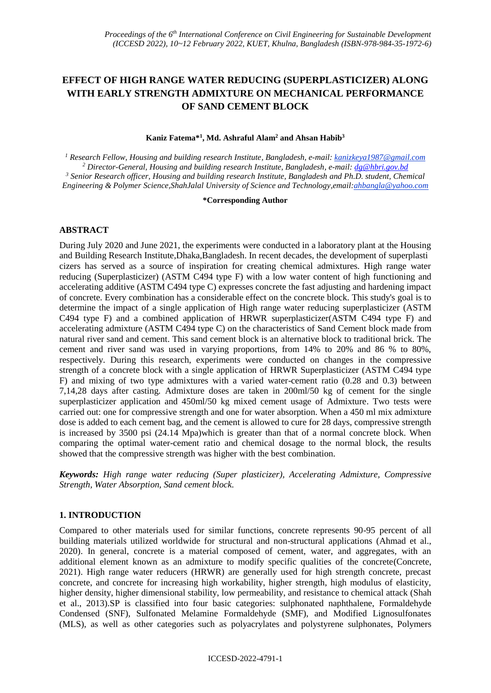# **EFFECT OF HIGH RANGE WATER REDUCING (SUPERPLASTICIZER) ALONG WITH EARLY STRENGTH ADMIXTURE ON MECHANICAL PERFORMANCE OF SAND CEMENT BLOCK**

#### **Kaniz Fatema\* 1 , Md. Ashraful Alam<sup>2</sup> and Ahsan Habib<sup>3</sup>**

 *Research Fellow, Housing and building research Institute, Bangladesh, e-mail: kanizkeya1987@gmail.com Director-General, Housing and building research Institute, Bangladesh, e-mail: [dg@hbri.gov.bd](mailto:dg@hbri.gov.bd) Senior Research officer, Housing and building research Institute, Bangladesh and Ph.D. student, Chemical Engineering & Polymer Science,ShahJalal University of Science and Technology,email:ahbangla@yahoo.com*

#### **\*Corresponding Author**

### **ABSTRACT**

During July 2020 and June 2021, the experiments were conducted in a laboratory plant at the Housing and Building Research Institute,Dhaka,Bangladesh. In recent decades, the development of superplasti cizers has served as a source of inspiration for creating chemical admixtures. High range water reducing (Superplasticizer) (ASTM C494 type F) with a low water content of high functioning and accelerating additive (ASTM C494 type C) expresses concrete the fast adjusting and hardening impact of concrete. Every combination has a considerable effect on the concrete block. This study's goal is to determine the impact of a single application of High range water reducing superplasticizer (ASTM C494 type F) and a combined application of HRWR superplasticizer(ASTM C494 type F) and accelerating admixture (ASTM C494 type C) on the characteristics of Sand Cement block made from natural river sand and cement. This sand cement block is an alternative block to traditional brick. The cement and river sand was used in varying proportions, from 14% to 20% and 86 % to 80%, respectively. During this research, experiments were conducted on changes in the compressive strength of a concrete block with a single application of HRWR Superplasticizer (ASTM C494 type F) and mixing of two type admixtures with a varied water-cement ratio (0.28 and 0.3) between 7,14,28 days after casting. Admixture doses are taken in 200ml/50 kg of cement for the single superplasticizer application and 450ml/50 kg mixed cement usage of Admixture. Two tests were carried out: one for compressive strength and one for water absorption. When a 450 ml mix admixture dose is added to each cement bag, and the cement is allowed to cure for 28 days, compressive strength is increased by 3500 psi (24.14 Mpa)which is greater than that of a normal concrete block. When comparing the optimal water-cement ratio and chemical dosage to the normal block, the results showed that the compressive strength was higher with the best combination.

*Keywords: High range water reducing (Super plasticizer), Accelerating Admixture, Compressive Strength, Water Absorption, Sand cement block.*

# **1. INTRODUCTION**

Compared to other materials used for similar functions, concrete represents 90-95 percent of all building materials utilized worldwide for structural and non-structural applications (Ahmad et al., 2020). In general, concrete is a material composed of cement, water, and aggregates, with an additional element known as an admixture to modify specific qualities of the concrete(Concrete, 2021). High range water reducers (HRWR) are generally used for high strength concrete, precast concrete, and concrete for increasing high workability, higher strength, high modulus of elasticity, higher density, higher dimensional stability, low permeability, and resistance to chemical attack (Shah et al., 2013).SP is classified into four basic categories: sulphonated naphthalene, Formaldehyde Condensed (SNF), Sulfonated Melamine Formaldehyde (SMF), and Modified Lignosulfonates (MLS), as well as other categories such as polyacrylates and polystyrene sulphonates, Polymers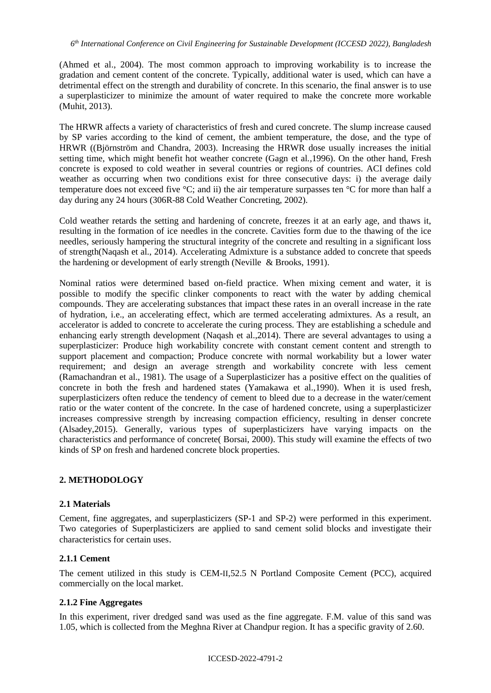(Ahmed et al., 2004). The most common approach to improving workability is to increase the gradation and cement content of the concrete. Typically, additional water is used, which can have a detrimental effect on the strength and durability of concrete. In this scenario, the final answer is to use a superplasticizer to minimize the amount of water required to make the concrete more workable (Muhit, 2013).

The HRWR affects a variety of characteristics of fresh and cured concrete. The slump increase caused by SP varies according to the kind of cement, the ambient temperature, the dose, and the type of HRWR ((Björnström and Chandra, 2003). Increasing the HRWR dose usually increases the initial setting time, which might benefit hot weather concrete (Gagn et al*.,*1996). On the other hand, Fresh concrete is exposed to cold weather in several countries or regions of countries. ACI defines cold weather as occurring when two conditions exist for three consecutive days: i) the average daily temperature does not exceed five °C; and ii) the air temperature surpasses ten °C for more than half a day during any 24 hours (306R-88 Cold Weather Concreting, 2002).

Cold weather retards the setting and hardening of concrete, freezes it at an early age, and thaws it, resulting in the formation of ice needles in the concrete. Cavities form due to the thawing of the ice needles, seriously hampering the structural integrity of the concrete and resulting in a significant loss of strength(Naqash et al., 2014). Accelerating Admixture is a substance added to concrete that speeds the hardening or development of early strength (Neville & Brooks, 1991).

Nominal ratios were determined based on-field practice. When mixing cement and water, it is possible to modify the specific clinker components to react with the water by adding chemical compounds. They are accelerating substances that impact these rates in an overall increase in the rate of hydration, i.e., an accelerating effect, which are termed accelerating admixtures. As a result, an accelerator is added to concrete to accelerate the curing process. They are establishing a schedule and enhancing early strength development (Naqash et al.,2014). There are several advantages to using a superplasticizer: Produce high workability concrete with constant cement content and strength to support placement and compaction; Produce concrete with normal workability but a lower water requirement; and design an average strength and workability concrete with less cement (Ramachandran et al., 1981). The usage of a Superplasticizer has a positive effect on the qualities of concrete in both the fresh and hardened states (Yamakawa et al.,1990). When it is used fresh, superplasticizers often reduce the tendency of cement to bleed due to a decrease in the water/cement ratio or the water content of the concrete. In the case of hardened concrete, using a superplasticizer increases compressive strength by increasing compaction efficiency, resulting in denser concrete (Alsadey,2015). Generally, various types of superplasticizers have varying impacts on the characteristics and performance of concrete( Borsai, 2000). This study will examine the effects of two kinds of SP on fresh and hardened concrete block properties.

# **2. METHODOLOGY**

### **2.1 Materials**

Cement, fine aggregates, and superplasticizers (SP-1 and SP-2) were performed in this experiment. Two categories of Superplasticizers are applied to sand cement solid blocks and investigate their characteristics for certain uses.

### **2.1.1 Cement**

The cement utilized in this study is CEM-II,52.5 N Portland Composite Cement (PCC), acquired commercially on the local market.

### **2.1.2 Fine Aggregates**

In this experiment, river dredged sand was used as the fine aggregate. F.M. value of this sand was 1.05, which is collected from the Meghna River at Chandpur region. It has a specific gravity of 2.60.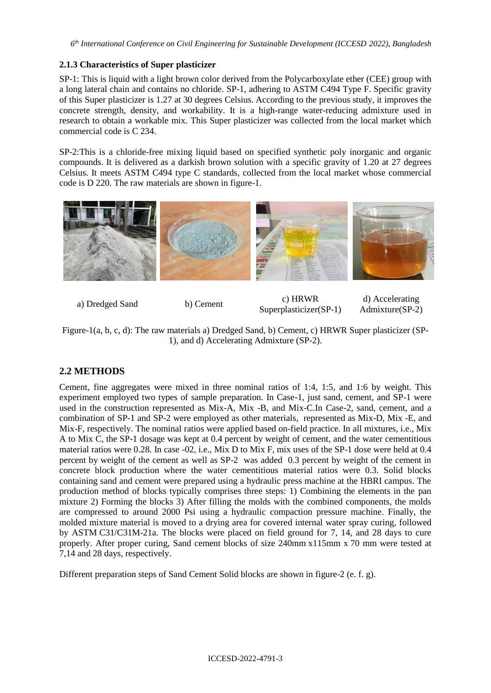### **2.1.3 Characteristics of Super plasticizer**

SP-1: This is liquid with a light brown color derived from the Polycarboxylate ether (CEE) group with a long lateral chain and contains no chloride. SP-1, adhering to ASTM C494 Type F. Specific gravity of this Super plasticizer is 1.27 at 30 degrees Celsius. According to the previous study, it improves the concrete strength, density, and workability. It is a high-range water-reducing admixture used in research to obtain a workable mix. This Super plasticizer was collected from the local market which commercial code is C 234.

SP-2:This is a chloride-free mixing liquid based on specified synthetic poly inorganic and organic compounds. It is delivered as a darkish brown solution with a specific gravity of 1.20 at 27 degrees Celsius. It meets ASTM C494 type C standards, collected from the local market whose commercial code is D 220. The raw materials are shown in figure-1.



a) Dredged Sand b) Cement c) HRWR Superplasticizer(SP-1)

d) Accelerating Admixture(SP-2)

Figure-1(a, b, c, d): The raw materials a) Dredged Sand, b) Cement, c) HRWR Super plasticizer (SP-1), and d) Accelerating Admixture (SP-2).

# **2.2 METHODS**

Cement, fine aggregates were mixed in three nominal ratios of 1:4, 1:5, and 1:6 by weight. This experiment employed two types of sample preparation. In Case-1, just sand, cement, and SP-1 were used in the construction represented as Mix-A, Mix -B, and Mix-C.In Case-2, sand, cement, and a combination of SP-1 and SP-2 were employed as other materials, represented as Mix-D, Mix -E, and Mix-F, respectively. The nominal ratios were applied based on-field practice. In all mixtures, i.e., Mix A to Mix C, the SP-1 dosage was kept at 0.4 percent by weight of cement, and the water cementitious material ratios were 0.28. In case -02, i.e., Mix D to Mix F, mix uses of the SP-1 dose were held at 0.4 percent by weight of the cement as well as SP-2 was added 0.3 percent by weight of the cement in concrete block production where the water cementitious material ratios were 0.3. Solid blocks containing sand and cement were prepared using a hydraulic press machine at the HBRI campus. The production method of blocks typically comprises three steps: 1) Combining the elements in the pan mixture 2) Forming the blocks 3) After filling the molds with the combined components, the molds are compressed to around 2000 Psi using a hydraulic compaction pressure machine. Finally, the molded mixture material is moved to a drying area for covered internal water spray curing, followed by ASTM C31/C31M-21a. The blocks were placed on field ground for 7, 14, and 28 days to cure properly. After proper curing, Sand cement blocks of size 240mm x115mm x 70 mm were tested at 7,14 and 28 days, respectively.

Different preparation steps of Sand Cement Solid blocks are shown in figure-2 (e. f. g).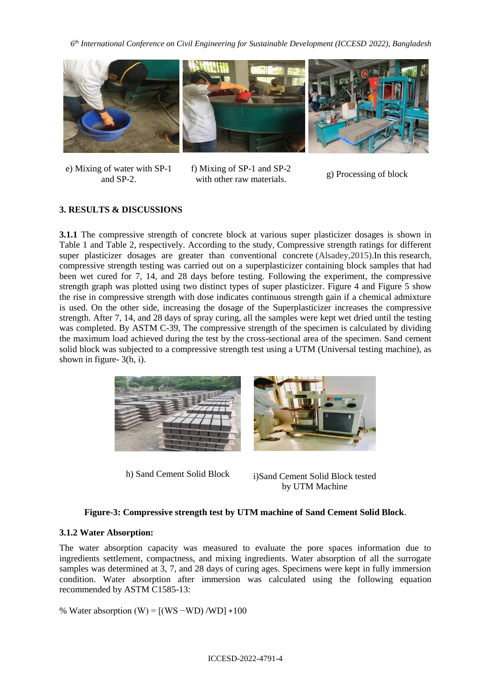*6 th International Conference on Civil Engineering for Sustainable Development (ICCESD 2022), Bangladesh*



e) Mixing of water with SP-1 and SP-2.

f) Mixing of SP-1 and SP-2 with other raw materials.

g) Processing of block

# **3. RESULTS & DISCUSSIONS**

**3.1.1** The compressive strength of concrete block at various super plasticizer dosages is shown in Table 1 and Table 2, respectively. According to the study, Compressive strength ratings for different super plasticizer dosages are greater than conventional concrete (Alsadey,2015).In this research, compressive strength testing was carried out on a superplasticizer containing block samples that had been wet cured for 7, 14, and 28 days before testing. Following the experiment, the compressive strength graph was plotted using two distinct types of super plasticizer. Figure 4 and Figure 5 show the rise in compressive strength with dose indicates continuous strength gain if a chemical admixture is used. On the other side, increasing the dosage of the Superplasticizer increases the compressive strength. After 7, 14, and 28 days of spray curing, all the samples were kept wet dried until the testing was completed. By ASTM C-39, The compressive strength of the specimen is calculated by dividing the maximum load achieved during the test by the cross-sectional area of the specimen. Sand cement solid block was subjected to a compressive strength test using a UTM (Universal testing machine), as shown in figure- 3(h, i).



h) Sand Cement Solid Block i)Sand Cement Solid Block tested by UTM Machine

# **Figure-3: Compressive strength test by UTM machine of Sand Cement Solid Block**.

# **3.1.2 Water Absorption:**

The water absorption capacity was measured to evaluate the pore spaces information due to ingredients settlement, compactness, and mixing ingredients. Water absorption of all the surrogate samples was determined at 3, 7, and 28 days of curing ages. Specimens were kept in fully immersion condition. Water absorption after immersion was calculated using the following equation recommended by ASTM C1585-13:

% Water absorption (W) =  $[(WS - WD)/WD] *100$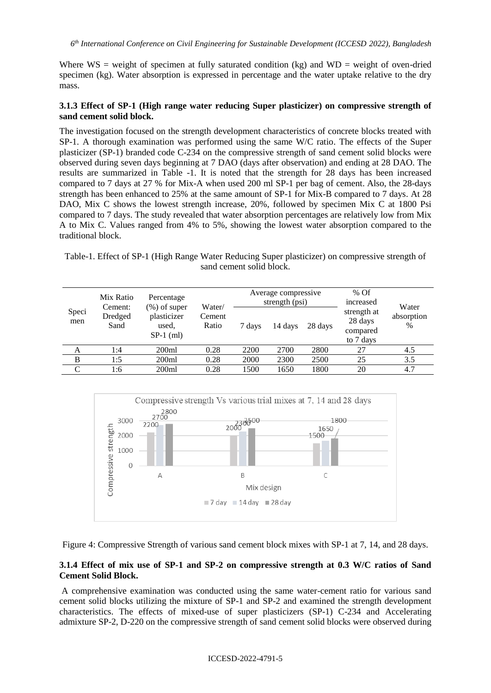Where  $WS =$  weight of specimen at fully saturated condition (kg) and  $WD =$  weight of oven-dried specimen (kg). Water absorption is expressed in percentage and the water uptake relative to the dry mass.

### **3.1.3 Effect of SP-1 (High range water reducing Super plasticizer) on compressive strength of sand cement solid block.**

The investigation focused on the strength development characteristics of concrete blocks treated with SP-1. A thorough examination was performed using the same W/C ratio. The effects of the Super plasticizer (SP-1) branded code C-234 on the compressive strength of sand cement solid blocks were observed during seven days beginning at 7 DAO (days after observation) and ending at 28 DAO. The results are summarized in Table -1. It is noted that the strength for 28 days has been increased compared to 7 days at 27 % for Mix-A when used 200 ml SP-1 per bag of cement. Also, the 28-days strength has been enhanced to 25% at the same amount of SP-1 for Mix-B compared to 7 days. At 28 DAO, Mix C shows the lowest strength increase, 20%, followed by specimen Mix C at 1800 Psi compared to 7 days. The study revealed that water absorption percentages are relatively low from Mix A to Mix C. Values ranged from 4% to 5%, showing the lowest water absorption compared to the traditional block.

Table-1. Effect of SP-1 (High Range Water Reducing Super plasticizer) on compressive strength of sand cement solid block.

| Speci<br>men | Mix Ratio<br>Cement:<br>Dredged<br>Sand | Percentage<br>$(\%)$ of super<br>plasticizer<br>used,<br>$SP-1$ (ml) | Water/<br>Cement<br>Ratio | Average compressive<br>strength (psi) |         |         | $%$ Of<br>increased                             | Water              |
|--------------|-----------------------------------------|----------------------------------------------------------------------|---------------------------|---------------------------------------|---------|---------|-------------------------------------------------|--------------------|
|              |                                         |                                                                      |                           | 7 days                                | 14 days | 28 days | strength at<br>28 days<br>compared<br>to 7 days | absorption<br>$\%$ |
| А            | 1:4                                     | 200ml                                                                | 0.28                      | 2200                                  | 2700    | 2800    | 27                                              | 4.5                |
| B            | 1:5                                     | 200ml                                                                | 0.28                      | 2000                                  | 2300    | 2500    | 25                                              | 3.5                |
| C            | 1:6                                     | 200ml                                                                | 0.28                      | 1500                                  | 1650    | 1800    | 20                                              | 4.7                |



Figure 4: Compressive Strength of various sand cement block mixes with SP-1 at 7, 14, and 28 days.

### **3.1.4 Effect of mix use of SP-1 and SP-2 on compressive strength at 0.3 W/C ratios of Sand Cement Solid Block.**

A comprehensive examination was conducted using the same water-cement ratio for various sand cement solid blocks utilizing the mixture of SP-1 and SP-2 and examined the strength development characteristics. The effects of mixed-use of super plasticizers (SP-1) C-234 and Accelerating admixture SP-2, D-220 on the compressive strength of sand cement solid blocks were observed during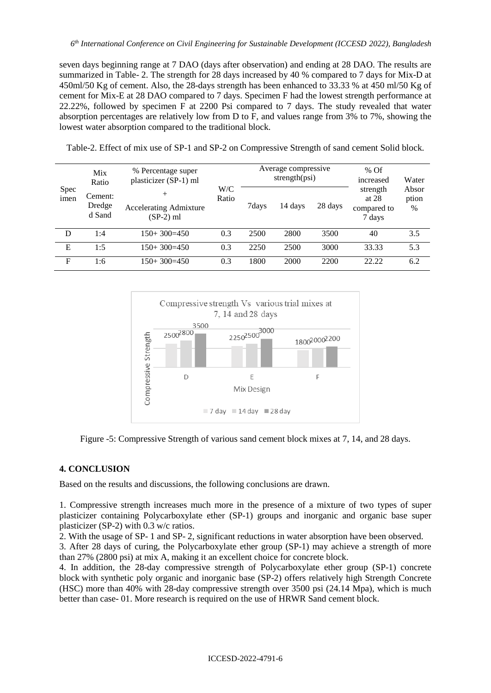seven days beginning range at 7 DAO (days after observation) and ending at 28 DAO. The results are summarized in Table- 2. The strength for 28 days increased by 40 % compared to 7 days for Mix-D at 450ml/50 Kg of cement. Also, the 28-days strength has been enhanced to 33.33 % at 450 ml/50 Kg of cement for Mix-E at 28 DAO compared to 7 days. Specimen F had the lowest strength performance at 22.22%, followed by specimen F at 2200 Psi compared to 7 days. The study revealed that water absorption percentages are relatively low from D to F, and values range from 3% to 7%, showing the lowest water absorption compared to the traditional block.

| Spec<br>imen | Mix<br>Ratio                | % Percentage super<br>plasticizer (SP-1) ml            | W/C<br>Ratio | Average compressive<br>strength(psi) |         |         | $%$ Of<br>increased                          | Water               |
|--------------|-----------------------------|--------------------------------------------------------|--------------|--------------------------------------|---------|---------|----------------------------------------------|---------------------|
|              | Cement:<br>Dredge<br>d Sand | $^{+}$<br><b>Accelerating Admixture</b><br>$(SP-2)$ ml |              | 7days                                | 14 days | 28 days | strength<br>at $28$<br>compared to<br>7 days | Absor<br>ption<br>% |
| D            | 1:4                         | $150+300=450$                                          | 0.3          | 2500                                 | 2800    | 3500    | 40                                           | 3.5                 |
| E            | $\pm 5$                     | $150+300=450$                                          | 0.3          | 2250                                 | 2500    | 3000    | 33.33                                        | 5.3                 |
| $\mathbf F$  | l:6                         | $150+300=450$                                          | 0.3          | 1800                                 | 2000    | 2200    | 22.22                                        | 6.2                 |

Table-2. Effect of mix use of SP-1 and SP-2 on Compressive Strength of sand cement Solid block.



Figure -5: Compressive Strength of various sand cement block mixes at 7, 14, and 28 days.

### **4. CONCLUSION**

Based on the results and discussions, the following conclusions are drawn.

1. Compressive strength increases much more in the presence of a mixture of two types of super plasticizer containing Polycarboxylate ether (SP-1) groups and inorganic and organic base super plasticizer (SP-2) with 0.3 w/c ratios.

2. With the usage of SP- 1 and SP- 2, significant reductions in water absorption have been observed.

3. After 28 days of curing, the Polycarboxylate ether group (SP-1) may achieve a strength of more than 27% (2800 psi) at mix A, making it an excellent choice for concrete block.

4. In addition, the 28-day compressive strength of Polycarboxylate ether group (SP-1) concrete block with synthetic poly organic and inorganic base (SP-2) offers relatively high Strength Concrete (HSC) more than 40% with 28-day compressive strength over 3500 psi (24.14 Mpa), which is much better than case- 01. More research is required on the use of HRWR Sand cement block.